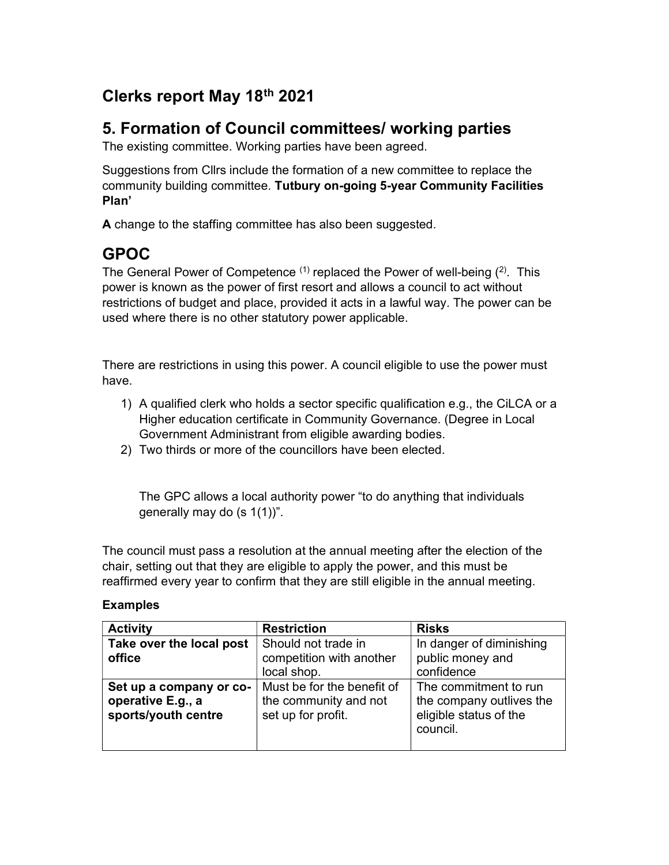## Clerks report May 18th 2021

### 5. Formation of Council committees/ working parties

The existing committee. Working parties have been agreed.

Suggestions from Cllrs include the formation of a new committee to replace the community building committee. Tutbury on-going 5-year Community Facilities Plan'

A change to the staffing committee has also been suggested.

# GPOC

The General Power of Competence  $(1)$  replaced the Power of well-being  $(2)$ . This power is known as the power of first resort and allows a council to act without restrictions of budget and place, provided it acts in a lawful way. The power can be used where there is no other statutory power applicable.

There are restrictions in using this power. A council eligible to use the power must have.

- 1) A qualified clerk who holds a sector specific qualification e.g., the CiLCA or a Higher education certificate in Community Governance. (Degree in Local Government Administrant from eligible awarding bodies.
- 2) Two thirds or more of the councillors have been elected.

The GPC allows a local authority power "to do anything that individuals generally may do (s 1(1))".

The council must pass a resolution at the annual meeting after the election of the chair, setting out that they are eligible to apply the power, and this must be reaffirmed every year to confirm that they are still eligible in the annual meeting.

### Examples

| <b>Activity</b>          | <b>Restriction</b>         | <b>Risks</b>             |
|--------------------------|----------------------------|--------------------------|
| Take over the local post | Should not trade in        | In danger of diminishing |
| office                   | competition with another   | public money and         |
|                          | local shop.                | confidence               |
| Set up a company or co-  | Must be for the benefit of | The commitment to run    |
| operative E.g., a        | the community and not      | the company outlives the |
| sports/youth centre      | set up for profit.         | eligible status of the   |
|                          |                            | council.                 |
|                          |                            |                          |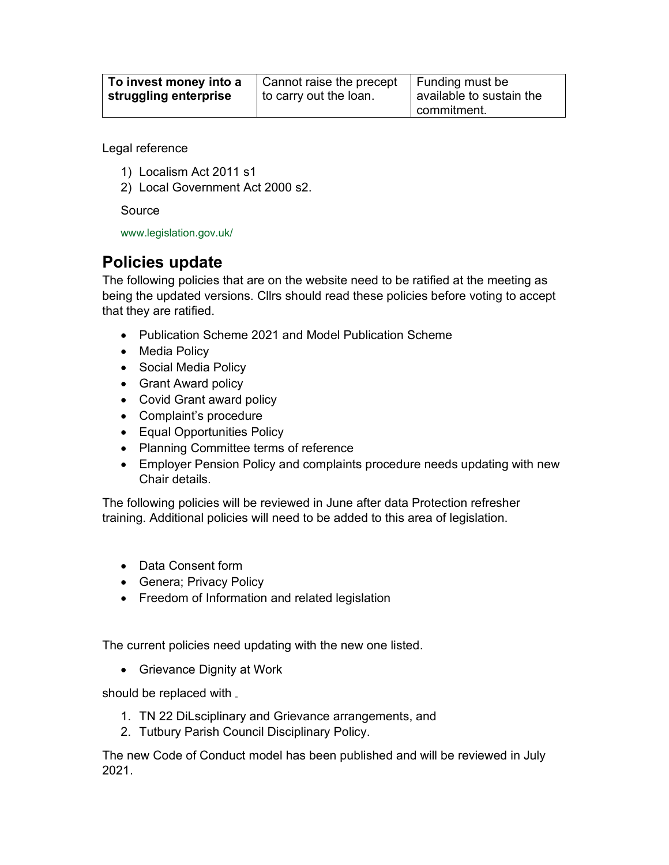| To invest money into a  | Cannot raise the precept | Funding must be          |
|-------------------------|--------------------------|--------------------------|
| ∣ struggling enterprise | to carry out the loan.   | available to sustain the |
|                         |                          | commitment.              |

Legal reference

- 1) Localism Act 2011 s1
- 2) Local Government Act 2000 s2.

Source

www.legislation.gov.uk/

## Policies update

The following policies that are on the website need to be ratified at the meeting as being the updated versions. Cllrs should read these policies before voting to accept that they are ratified.

- Publication Scheme 2021 and Model Publication Scheme
- Media Policy
- Social Media Policy
- Grant Award policy
- Covid Grant award policy
- Complaint's procedure
- Equal Opportunities Policy
- Planning Committee terms of reference
- Employer Pension Policy and complaints procedure needs updating with new Chair details.

The following policies will be reviewed in June after data Protection refresher training. Additional policies will need to be added to this area of legislation.

- Data Consent form
- Genera; Privacy Policy
- Freedom of Information and related legislation

The current policies need updating with the new one listed.

• Grievance Dignity at Work

should be replaced with

- 1. TN 22 DiLsciplinary and Grievance arrangements, and
- 2. Tutbury Parish Council Disciplinary Policy.

The new Code of Conduct model has been published and will be reviewed in July 2021.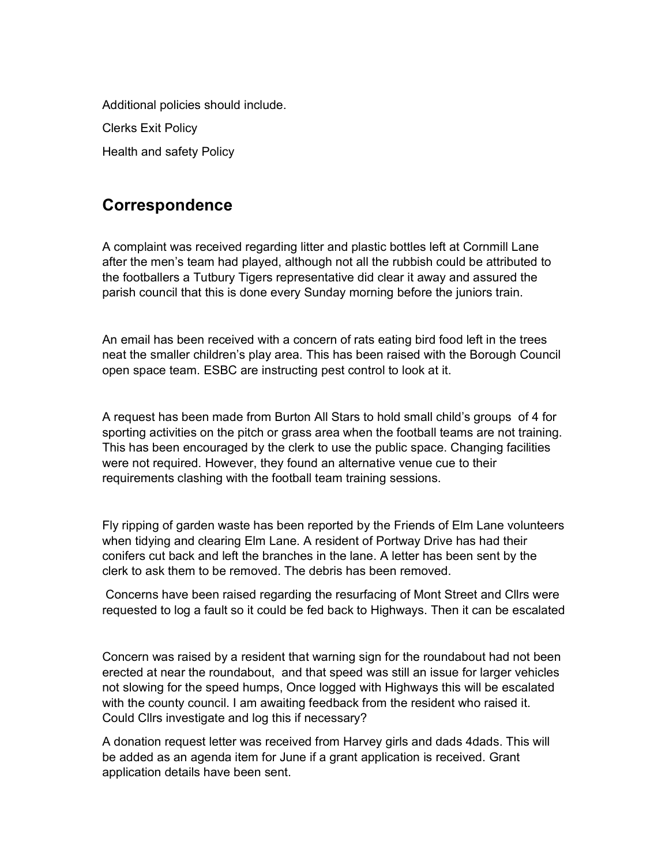Additional policies should include.

Clerks Exit Policy

Health and safety Policy

### Correspondence

A complaint was received regarding litter and plastic bottles left at Cornmill Lane after the men's team had played, although not all the rubbish could be attributed to the footballers a Tutbury Tigers representative did clear it away and assured the parish council that this is done every Sunday morning before the juniors train.

An email has been received with a concern of rats eating bird food left in the trees neat the smaller children's play area. This has been raised with the Borough Council open space team. ESBC are instructing pest control to look at it.

A request has been made from Burton All Stars to hold small child's groups of 4 for sporting activities on the pitch or grass area when the football teams are not training. This has been encouraged by the clerk to use the public space. Changing facilities were not required. However, they found an alternative venue cue to their requirements clashing with the football team training sessions.

Fly ripping of garden waste has been reported by the Friends of Elm Lane volunteers when tidying and clearing Elm Lane. A resident of Portway Drive has had their conifers cut back and left the branches in the lane. A letter has been sent by the clerk to ask them to be removed. The debris has been removed.

 Concerns have been raised regarding the resurfacing of Mont Street and Cllrs were requested to log a fault so it could be fed back to Highways. Then it can be escalated

Concern was raised by a resident that warning sign for the roundabout had not been erected at near the roundabout, and that speed was still an issue for larger vehicles not slowing for the speed humps, Once logged with Highways this will be escalated with the county council. I am awaiting feedback from the resident who raised it. Could Cllrs investigate and log this if necessary?

A donation request letter was received from Harvey girls and dads 4dads. This will be added as an agenda item for June if a grant application is received. Grant application details have been sent.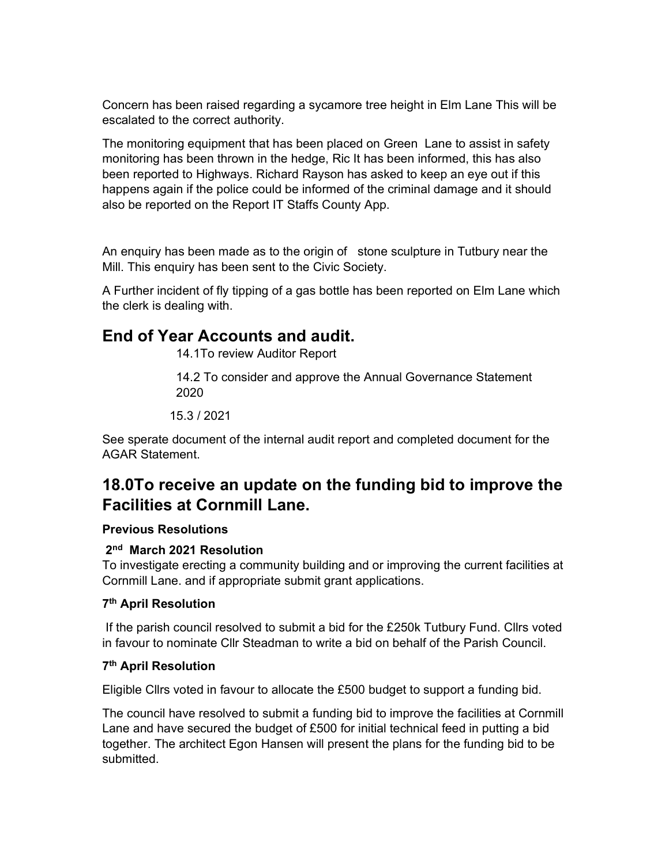Concern has been raised regarding a sycamore tree height in Elm Lane This will be escalated to the correct authority.

The monitoring equipment that has been placed on Green Lane to assist in safety monitoring has been thrown in the hedge, Ric It has been informed, this has also been reported to Highways. Richard Rayson has asked to keep an eye out if this happens again if the police could be informed of the criminal damage and it should also be reported on the Report IT Staffs County App.

An enquiry has been made as to the origin of stone sculpture in Tutbury near the Mill. This enquiry has been sent to the Civic Society.

A Further incident of fly tipping of a gas bottle has been reported on Elm Lane which the clerk is dealing with.

### End of Year Accounts and audit.

14.1To review Auditor Report

14.2 To consider and approve the Annual Governance Statement 2020

15.3 / 2021

See sperate document of the internal audit report and completed document for the AGAR Statement.

## 18.0To receive an update on the funding bid to improve the Facilities at Cornmill Lane.

### Previous Resolutions

### 2<sup>nd</sup> March 2021 Resolution

To investigate erecting a community building and or improving the current facilities at Cornmill Lane. and if appropriate submit grant applications.

### 7 th April Resolution

If the parish council resolved to submit a bid for the £250k Tutbury Fund. Cllrs voted in favour to nominate Cllr Steadman to write a bid on behalf of the Parish Council.

### 7<sup>th</sup> April Resolution

Eligible Cllrs voted in favour to allocate the £500 budget to support a funding bid.

The council have resolved to submit a funding bid to improve the facilities at Cornmill Lane and have secured the budget of £500 for initial technical feed in putting a bid together. The architect Egon Hansen will present the plans for the funding bid to be submitted.